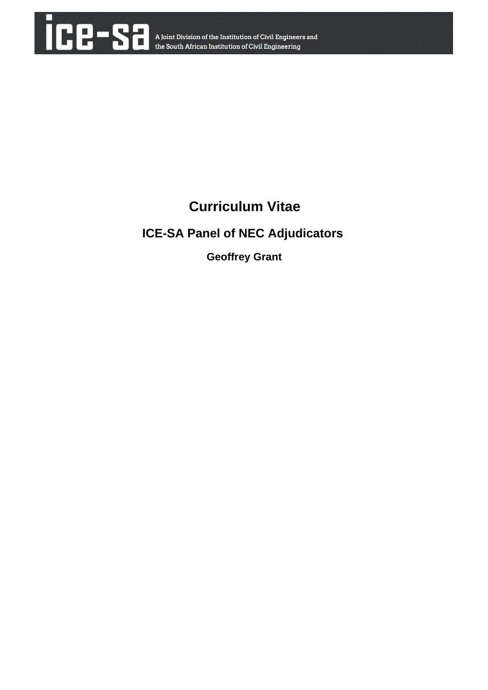

# **Curriculum Vitae**

## **ICE-SA Panel of NEC Adjudicators**

 **Geoffrey Grant**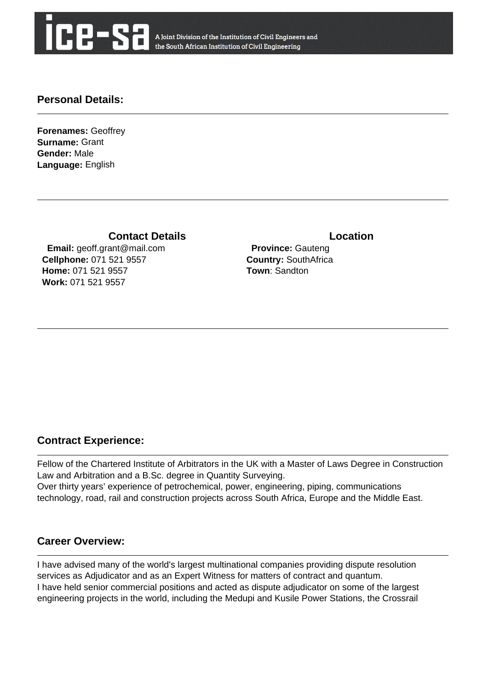

A Joint Division of the Institution of Civil Engineers and the South African Institution of Civil Engineering

#### **Personal Details:**

**Forenames:** Geoffrey **Surname:** Grant **Gender:** Male **Language:** English

**Contact Details Contact Details** 

 **Email:** geoff.grant@mail.com **Cellphone:** 071 521 9557 **Home:** 071 521 9557 **Work:** 071 521 9557

 **Province:** Gauteng **Country:** SouthAfrica **Town**: Sandton

### **Contract Experience:**

Fellow of the Chartered Institute of Arbitrators in the UK with a Master of Laws Degree in Construction Law and Arbitration and a B.Sc. degree in Quantity Surveying. Over thirty years' experience of petrochemical, power, engineering, piping, communications technology, road, rail and construction projects across South Africa, Europe and the Middle East.

#### **Career Overview:**

I have advised many of the world's largest multinational companies providing dispute resolution services as Adjudicator and as an Expert Witness for matters of contract and quantum. I have held senior commercial positions and acted as dispute adjudicator on some of the largest engineering projects in the world, including the Medupi and Kusile Power Stations, the Crossrail